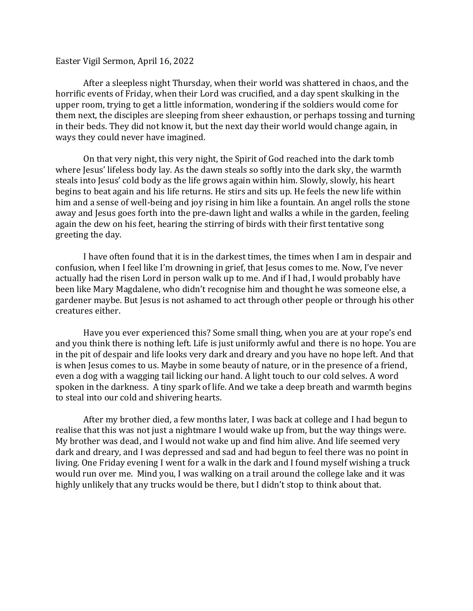## Easter Vigil Sermon, April 16, 2022

After a sleepless night Thursday, when their world was shattered in chaos, and the horrific events of Friday, when their Lord was crucified, and a day spent skulking in the upper room, trying to get a little information, wondering if the soldiers would come for them next, the disciples are sleeping from sheer exhaustion, or perhaps tossing and turning in their beds. They did not know it, but the next day their world would change again, in ways they could never have imagined.

On that very night, this very night, the Spirit of God reached into the dark tomb where Jesus' lifeless body lay. As the dawn steals so softly into the dark sky, the warmth steals into Jesus' cold body as the life grows again within him. Slowly, slowly, his heart begins to beat again and his life returns. He stirs and sits up. He feels the new life within him and a sense of well-being and joy rising in him like a fountain. An angel rolls the stone away and Jesus goes forth into the pre-dawn light and walks a while in the garden, feeling again the dew on his feet, hearing the stirring of birds with their first tentative song greeting the day.

I have often found that it is in the darkest times, the times when I am in despair and confusion, when I feel like I'm drowning in grief, that Jesus comes to me. Now, I've never actually had the risen Lord in person walk up to me. And if I had, I would probably have been like Mary Magdalene, who didn't recognise him and thought he was someone else, a gardener maybe. But Jesus is not ashamed to act through other people or through his other creatures either.

Have you ever experienced this? Some small thing, when you are at your rope's end and you think there is nothing left. Life is just uniformly awful and there is no hope. You are in the pit of despair and life looks very dark and dreary and you have no hope left. And that is when Jesus comes to us. Maybe in some beauty of nature, or in the presence of a friend, even a dog with a wagging tail licking our hand. A light touch to our cold selves. A word spoken in the darkness. A tiny spark of life. And we take a deep breath and warmth begins to steal into our cold and shivering hearts.

After my brother died, a few months later, I was back at college and I had begun to realise that this was not just a nightmare I would wake up from, but the way things were. My brother was dead, and I would not wake up and find him alive. And life seemed very dark and dreary, and I was depressed and sad and had begun to feel there was no point in living. One Friday evening I went for a walk in the dark and I found myself wishing a truck would run over me. Mind you, I was walking on a trail around the college lake and it was highly unlikely that any trucks would be there, but I didn't stop to think about that.